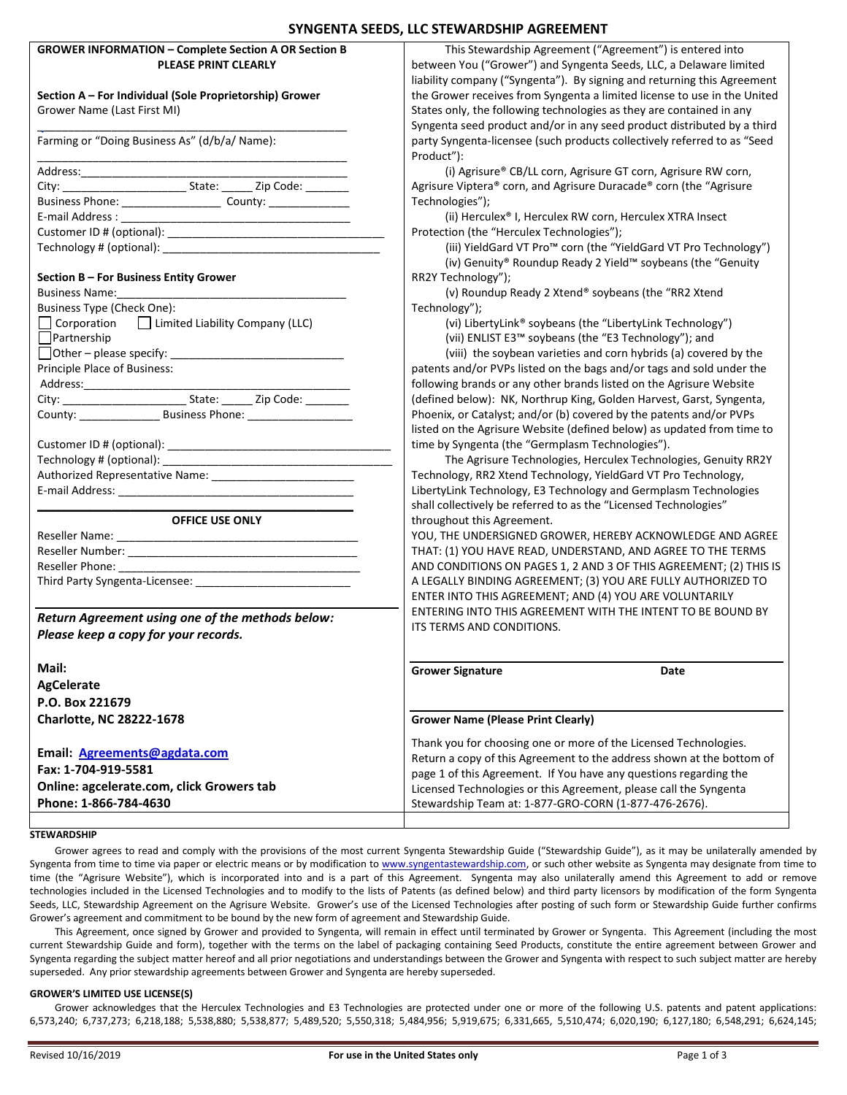# **SYNGENTA SEEDS, LLC STEWARDSHIP AGREEMENT**

| <b>GROWER INFORMATION - Complete Section A OR Section B</b>                      | This Stewardship Agreement ("Agreement") is entered into                     |
|----------------------------------------------------------------------------------|------------------------------------------------------------------------------|
| PLEASE PRINT CLEARLY                                                             | between You ("Grower") and Syngenta Seeds, LLC, a Delaware limited           |
|                                                                                  | liability company ("Syngenta"). By signing and returning this Agreement      |
| Section A - For Individual (Sole Proprietorship) Grower                          | the Grower receives from Syngenta a limited license to use in the United     |
| Grower Name (Last First MI)                                                      | States only, the following technologies as they are contained in any         |
|                                                                                  | Syngenta seed product and/or in any seed product distributed by a third      |
| Farming or "Doing Business As" (d/b/a/ Name):                                    | party Syngenta-licensee (such products collectively referred to as "Seed     |
|                                                                                  | Product"):                                                                   |
|                                                                                  | (i) Agrisure® CB/LL corn, Agrisure GT corn, Agrisure RW corn,                |
|                                                                                  | Agrisure Viptera® corn, and Agrisure Duracade® corn (the "Agrisure           |
| Business Phone: ________________________ County: __________________              | Technologies");                                                              |
|                                                                                  | (ii) Herculex® I, Herculex RW corn, Herculex XTRA Insect                     |
|                                                                                  | Protection (the "Herculex Technologies");                                    |
|                                                                                  | (iii) YieldGard VT Pro <sup>™</sup> corn (the "YieldGard VT Pro Technology") |
|                                                                                  | (iv) Genuity® Roundup Ready 2 Yield™ soybeans (the "Genuity                  |
| Section B - For Business Entity Grower                                           | RR2Y Technology");                                                           |
| <b>Business Name:</b>                                                            | (v) Roundup Ready 2 Xtend® soybeans (the "RR2 Xtend                          |
| <b>Business Type (Check One):</b>                                                | Technology");                                                                |
| Limited Liability Company (LLC)<br>$\Box$ Corporation                            | (vi) LibertyLink <sup>®</sup> soybeans (the "LibertyLink Technology")        |
| Partnership                                                                      | (vii) ENLIST E3™ soybeans (the "E3 Technology"); and                         |
| $\Box$ Other – please specify: $\Box$                                            | (viii) the soybean varieties and corn hybrids (a) covered by the             |
| Principle Place of Business:                                                     | patents and/or PVPs listed on the bags and/or tags and sold under the        |
|                                                                                  | following brands or any other brands listed on the Agrisure Website          |
|                                                                                  | (defined below): NK, Northrup King, Golden Harvest, Garst, Syngenta,         |
| County: ________________________ Business Phone: _______________________________ | Phoenix, or Catalyst; and/or (b) covered by the patents and/or PVPs          |
|                                                                                  | listed on the Agrisure Website (defined below) as updated from time to       |
|                                                                                  | time by Syngenta (the "Germplasm Technologies").                             |
|                                                                                  | The Agrisure Technologies, Herculex Technologies, Genuity RR2Y               |
|                                                                                  | Technology, RR2 Xtend Technology, YieldGard VT Pro Technology,               |
|                                                                                  | LibertyLink Technology, E3 Technology and Germplasm Technologies             |
|                                                                                  | shall collectively be referred to as the "Licensed Technologies"             |
| <b>OFFICE USE ONLY</b>                                                           | throughout this Agreement.                                                   |
|                                                                                  | YOU, THE UNDERSIGNED GROWER, HEREBY ACKNOWLEDGE AND AGREE                    |
|                                                                                  | THAT: (1) YOU HAVE READ, UNDERSTAND, AND AGREE TO THE TERMS                  |
| Reseller Phone:                                                                  | AND CONDITIONS ON PAGES 1, 2 AND 3 OF THIS AGREEMENT; (2) THIS IS            |
|                                                                                  | A LEGALLY BINDING AGREEMENT; (3) YOU ARE FULLY AUTHORIZED TO                 |
|                                                                                  | ENTER INTO THIS AGREEMENT; AND (4) YOU ARE VOLUNTARILY                       |
| Return Agreement using one of the methods below:                                 | ENTERING INTO THIS AGREEMENT WITH THE INTENT TO BE BOUND BY                  |
| Please keep a copy for your records.                                             | ITS TERMS AND CONDITIONS.                                                    |
|                                                                                  |                                                                              |
| Mail:                                                                            |                                                                              |
|                                                                                  | <b>Grower Signature</b><br>Date                                              |
| <b>AgCelerate</b>                                                                |                                                                              |
| P.O. Box 221679                                                                  |                                                                              |
| <b>Charlotte, NC 28222-1678</b>                                                  | <b>Grower Name (Please Print Clearly)</b>                                    |
|                                                                                  | Thank you for choosing one or more of the Licensed Technologies.             |
| Email: Agreements@agdata.com                                                     | Return a copy of this Agreement to the address shown at the bottom of        |
| Fax: 1-704-919-5581                                                              | page 1 of this Agreement. If You have any questions regarding the            |
| Online: agcelerate.com, click Growers tab                                        | Licensed Technologies or this Agreement, please call the Syngenta            |
| Phone: 1-866-784-4630                                                            | Stewardship Team at: 1-877-GRO-CORN (1-877-476-2676).                        |
|                                                                                  |                                                                              |

#### **STEWARDSHIP**

Grower agrees to read and comply with the provisions of the most current Syngenta Stewardship Guide ("Stewardship Guide"), as it may be unilaterally amended by Syngenta from time to time via paper or electric means or by modification t[o www.syngentastewardship.com,](http://www.syngentastewardship.com/) or such other website as Syngenta may designate from time to time (the "Agrisure Website"), which is incorporated into and is a part of this Agreement. Syngenta may also unilaterally amend this Agreement to add or remove technologies included in the Licensed Technologies and to modify to the lists of Patents (as defined below) and third party licensors by modification of the form Syngenta Seeds, LLC, Stewardship Agreement on the Agrisure Website. Grower's use of the Licensed Technologies after posting of such form or Stewardship Guide further confirms Grower's agreement and commitment to be bound by the new form of agreement and Stewardship Guide.

This Agreement, once signed by Grower and provided to Syngenta, will remain in effect until terminated by Grower or Syngenta. This Agreement (including the most current Stewardship Guide and form), together with the terms on the label of packaging containing Seed Products, constitute the entire agreement between Grower and Syngenta regarding the subject matter hereof and all prior negotiations and understandings between the Grower and Syngenta with respect to such subject matter are hereby superseded. Any prior stewardship agreements between Grower and Syngenta are hereby superseded.

#### **GROWER'S LIMITED USE LICENSE(S)**

Grower acknowledges that the Herculex Technologies and E3 Technologies are protected under one or more of the following U.S. patents and patent applications: 6,573,240; 6,737,273; 6,218,188; 5,538,880; 5,538,877; 5,489,520; 5,550,318; 5,484,956; 5,919,675; 6,331,665, 5,510,474; 6,020,190; 6,127,180; 6,548,291; 6,624,145;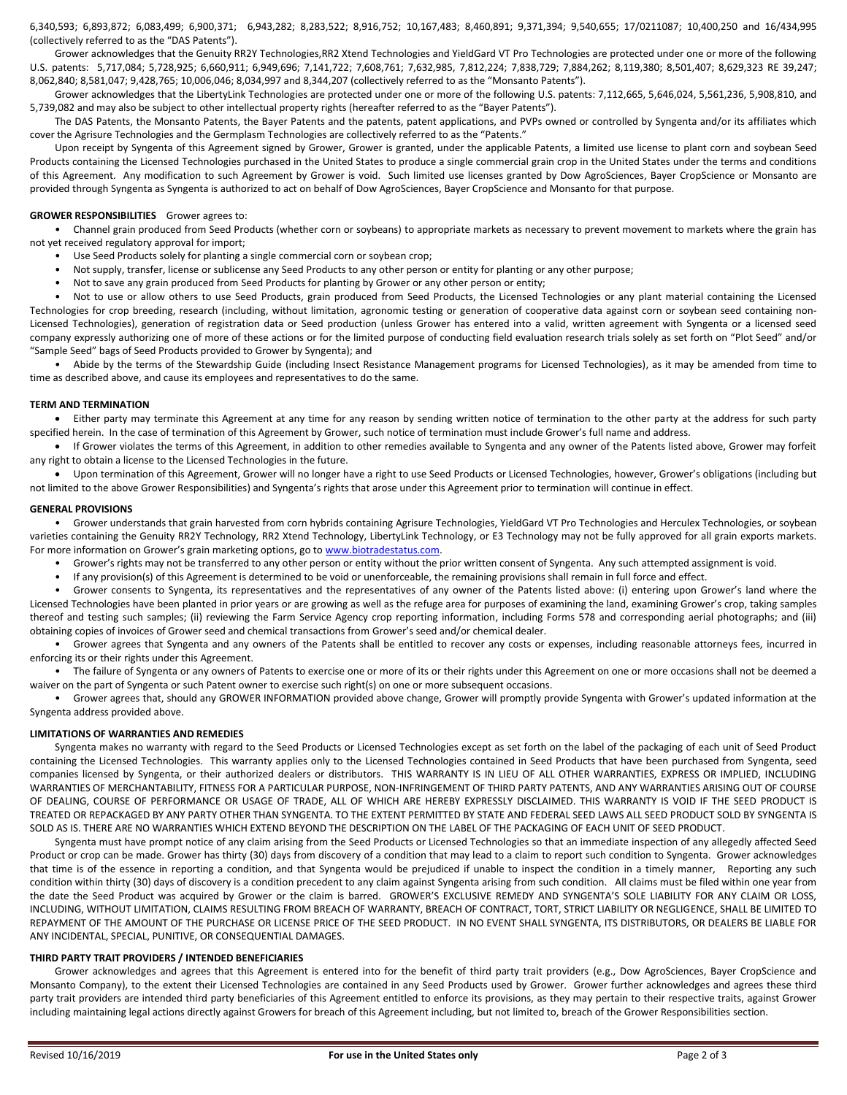6,340,593; 6,893,872; 6,083,499; 6,900,371; 6,943,282; 8,283,522; 8,916,752; 10,167,483; 8,460,891; 9,371,394; 9,540,655; 17/0211087; 10,400,250 and 16/434,995 (collectively referred to as the "DAS Patents").

Grower acknowledges that the Genuity RR2Y Technologies,RR2 Xtend Technologies and YieldGard VT Pro Technologies are protected under one or more of the following U.S. patents: 5,717,084; 5,728,925; 6,660,911; 6,949,696; 7,141,722; 7,608,761; 7,632,985, 7,812,224; 7,838,729; 7,884,262; 8,119,380; 8,501,407; 8,629,323 RE 39,247; 8,062,840; 8,581,047; 9,428,765; 10,006,046; 8,034,997 and 8,344,207 (collectively referred to as the "Monsanto Patents").

Grower acknowledges that the LibertyLink Technologies are protected under one or more of the following U.S. patents: 7,112,665, 5,646,024, 5,561,236, 5,908,810, and 5,739,082 and may also be subject to other intellectual property rights (hereafter referred to as the "Bayer Patents").

The DAS Patents, the Monsanto Patents, the Bayer Patents and the patents, patent applications, and PVPs owned or controlled by Syngenta and/or its affiliates which cover the Agrisure Technologies and the Germplasm Technologies are collectively referred to as the "Patents."

Upon receipt by Syngenta of this Agreement signed by Grower, Grower is granted, under the applicable Patents, a limited use license to plant corn and soybean Seed Products containing the Licensed Technologies purchased in the United States to produce a single commercial grain crop in the United States under the terms and conditions of this Agreement. Any modification to such Agreement by Grower is void. Such limited use licenses granted by Dow AgroSciences, Bayer CropScience or Monsanto are provided through Syngenta as Syngenta is authorized to act on behalf of Dow AgroSciences, Bayer CropScience and Monsanto for that purpose.

## **GROWER RESPONSIBILITIES** Grower agrees to:

• Channel grain produced from Seed Products (whether corn or soybeans) to appropriate markets as necessary to prevent movement to markets where the grain has not yet received regulatory approval for import;

- Use Seed Products solely for planting a single commercial corn or soybean crop;
- Not supply, transfer, license or sublicense any Seed Products to any other person or entity for planting or any other purpose;
- Not to save any grain produced from Seed Products for planting by Grower or any other person or entity;

Not to use or allow others to use Seed Products, grain produced from Seed Products, the Licensed Technologies or any plant material containing the Licensed Technologies for crop breeding, research (including, without limitation, agronomic testing or generation of cooperative data against corn or soybean seed containing non-Licensed Technologies), generation of registration data or Seed production (unless Grower has entered into a valid, written agreement with Syngenta or a licensed seed company expressly authorizing one of more of these actions or for the limited purpose of conducting field evaluation research trials solely as set forth on "Plot Seed" and/or "Sample Seed" bags of Seed Products provided to Grower by Syngenta); and

• Abide by the terms of the Stewardship Guide (including Insect Resistance Management programs for Licensed Technologies), as it may be amended from time to time as described above, and cause its employees and representatives to do the same.

#### **TERM AND TERMINATION**

 Either party may terminate this Agreement at any time for any reason by sending written notice of termination to the other party at the address for such party specified herein. In the case of termination of this Agreement by Grower, such notice of termination must include Grower's full name and address.

 If Grower violates the terms of this Agreement, in addition to other remedies available to Syngenta and any owner of the Patents listed above, Grower may forfeit any right to obtain a license to the Licensed Technologies in the future.

 Upon termination of this Agreement, Grower will no longer have a right to use Seed Products or Licensed Technologies, however, Grower's obligations (including but not limited to the above Grower Responsibilities) and Syngenta's rights that arose under this Agreement prior to termination will continue in effect.

#### **GENERAL PROVISIONS**

• Grower understands that grain harvested from corn hybrids containing Agrisure Technologies, YieldGard VT Pro Technologies and Herculex Technologies, or soybean varieties containing the Genuity RR2Y Technology, RR2 Xtend Technology, LibertyLink Technology, or E3 Technology may not be fully approved for all grain exports markets. For more information on Grower's grain marketing options, go to [www.biotradestatus.com.](http://www.biotradestatus.com/)

- Grower's rights may not be transferred to any other person or entity without the prior written consent of Syngenta. Any such attempted assignment is void.
- If any provision(s) of this Agreement is determined to be void or unenforceable, the remaining provisions shall remain in full force and effect.

• Grower consents to Syngenta, its representatives and the representatives of any owner of the Patents listed above: (i) entering upon Grower's land where the Licensed Technologies have been planted in prior years or are growing as well as the refuge area for purposes of examining the land, examining Grower's crop, taking samples thereof and testing such samples; (ii) reviewing the Farm Service Agency crop reporting information, including Forms 578 and corresponding aerial photographs; and (iii) obtaining copies of invoices of Grower seed and chemical transactions from Grower's seed and/or chemical dealer.

• Grower agrees that Syngenta and any owners of the Patents shall be entitled to recover any costs or expenses, including reasonable attorneys fees, incurred in enforcing its or their rights under this Agreement.

• The failure of Syngenta or any owners of Patents to exercise one or more of its or their rights under this Agreement on one or more occasions shall not be deemed a waiver on the part of Syngenta or such Patent owner to exercise such right(s) on one or more subsequent occasions.

• Grower agrees that, should any GROWER INFORMATION provided above change, Grower will promptly provide Syngenta with Grower's updated information at the Syngenta address provided above.

#### **LIMITATIONS OF WARRANTIES AND REMEDIES**

Syngenta makes no warranty with regard to the Seed Products or Licensed Technologies except as set forth on the label of the packaging of each unit of Seed Product containing the Licensed Technologies. This warranty applies only to the Licensed Technologies contained in Seed Products that have been purchased from Syngenta, seed companies licensed by Syngenta, or their authorized dealers or distributors. THIS WARRANTY IS IN LIEU OF ALL OTHER WARRANTIES, EXPRESS OR IMPLIED, INCLUDING WARRANTIES OF MERCHANTABILITY, FITNESS FOR A PARTICULAR PURPOSE, NON-INFRINGEMENT OF THIRD PARTY PATENTS, AND ANY WARRANTIES ARISING OUT OF COURSE OF DEALING, COURSE OF PERFORMANCE OR USAGE OF TRADE, ALL OF WHICH ARE HEREBY EXPRESSLY DISCLAIMED. THIS WARRANTY IS VOID IF THE SEED PRODUCT IS TREATED OR REPACKAGED BY ANY PARTY OTHER THAN SYNGENTA. TO THE EXTENT PERMITTED BY STATE AND FEDERAL SEED LAWS ALL SEED PRODUCT SOLD BY SYNGENTA IS SOLD AS IS. THERE ARE NO WARRANTIES WHICH EXTEND BEYOND THE DESCRIPTION ON THE LABEL OF THE PACKAGING OF EACH UNIT OF SEED PRODUCT.

Syngenta must have prompt notice of any claim arising from the Seed Products or Licensed Technologies so that an immediate inspection of any allegedly affected Seed Product or crop can be made. Grower has thirty (30) days from discovery of a condition that may lead to a claim to report such condition to Syngenta. Grower acknowledges that time is of the essence in reporting a condition, and that Syngenta would be prejudiced if unable to inspect the condition in a timely manner, Reporting any such condition within thirty (30) days of discovery is a condition precedent to any claim against Syngenta arising from such condition. All claims must be filed within one year from the date the Seed Product was acquired by Grower or the claim is barred. GROWER'S EXCLUSIVE REMEDY AND SYNGENTA'S SOLE LIABILITY FOR ANY CLAIM OR LOSS, INCLUDING, WITHOUT LIMITATION, CLAIMS RESULTING FROM BREACH OF WARRANTY, BREACH OF CONTRACT, TORT, STRICT LIABILITY OR NEGLIGENCE, SHALL BE LIMITED TO REPAYMENT OF THE AMOUNT OF THE PURCHASE OR LICENSE PRICE OF THE SEED PRODUCT. IN NO EVENT SHALL SYNGENTA, ITS DISTRIBUTORS, OR DEALERS BE LIABLE FOR ANY INCIDENTAL, SPECIAL, PUNITIVE, OR CONSEQUENTIAL DAMAGES.

## **THIRD PARTY TRAIT PROVIDERS / INTENDED BENEFICIARIES**

Grower acknowledges and agrees that this Agreement is entered into for the benefit of third party trait providers (e.g., Dow AgroSciences, Bayer CropScience and Monsanto Company), to the extent their Licensed Technologies are contained in any Seed Products used by Grower. Grower further acknowledges and agrees these third party trait providers are intended third party beneficiaries of this Agreement entitled to enforce its provisions, as they may pertain to their respective traits, against Grower including maintaining legal actions directly against Growers for breach of this Agreement including, but not limited to, breach of the Grower Responsibilities section.